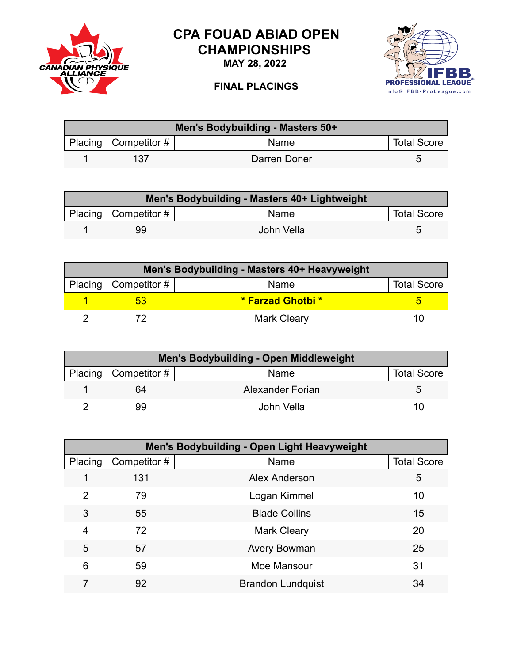

## **CPA FOUAD ABIAD OPEN CHAMPIONSHIPS**

**MAY 28, 2022**





| Men's Bodybuilding - Masters 50+ |                        |              |                    |  |
|----------------------------------|------------------------|--------------|--------------------|--|
|                                  | Placing   Competitor # | <b>Name</b>  | <b>Total Score</b> |  |
|                                  | 137                    | Darren Doner |                    |  |

| Men's Bodybuilding - Masters 40+ Lightweight |                        |            |                    |  |
|----------------------------------------------|------------------------|------------|--------------------|--|
|                                              | Placing   Competitor # | Name       | <b>Total Score</b> |  |
|                                              | 99                     | John Vella |                    |  |

| Men's Bodybuilding - Masters 40+ Heavyweight |                          |                          |                    |  |
|----------------------------------------------|--------------------------|--------------------------|--------------------|--|
|                                              | Placing   Competitor $#$ | Name                     | <b>Total Score</b> |  |
|                                              |                          | <b>* Farzad Ghotbi *</b> |                    |  |
|                                              |                          | <b>Mark Cleary</b>       | 10                 |  |

| Men's Bodybuilding - Open Middleweight |                        |                  |                    |  |
|----------------------------------------|------------------------|------------------|--------------------|--|
|                                        | Placing   Competitor # | Name             | <b>Total Score</b> |  |
|                                        | 64                     | Alexander Forian |                    |  |
|                                        | 99                     | John Vella       | 10                 |  |

| Men's Bodybuilding - Open Light Heavyweight |             |                          |                    |  |
|---------------------------------------------|-------------|--------------------------|--------------------|--|
| Placing                                     | Competitor# | Name                     | <b>Total Score</b> |  |
|                                             | 131         | Alex Anderson            | 5                  |  |
| $\overline{2}$                              | 79          | Logan Kimmel             | 10                 |  |
| 3                                           | 55          | <b>Blade Collins</b>     | 15                 |  |
| $\overline{4}$                              | 72          | <b>Mark Cleary</b>       | 20                 |  |
| 5                                           | 57          | <b>Avery Bowman</b>      | 25                 |  |
| 6                                           | 59          | Moe Mansour              | 31                 |  |
|                                             | 92          | <b>Brandon Lundquist</b> | 34                 |  |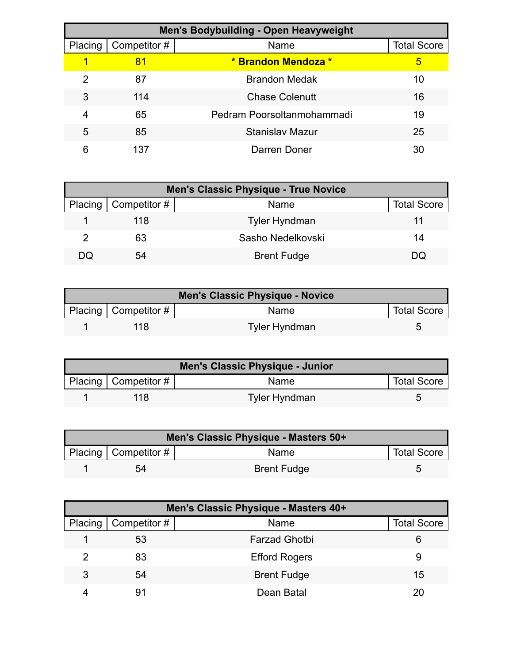| <b>Men's Bodybuilding - Open Heavyweight</b> |              |                            |                    |  |
|----------------------------------------------|--------------|----------------------------|--------------------|--|
| Placing                                      | Competitor # | Name                       | <b>Total Score</b> |  |
|                                              | 81           | * Brandon Mendoza *        | 5                  |  |
| 2                                            | 87           | <b>Brandon Medak</b>       | 10                 |  |
| 3                                            | 114          | <b>Chase Colenutt</b>      | 16                 |  |
| 4                                            | 65           | Pedram Poorsoltanmohammadi | 19                 |  |
| 5                                            | 85           | <b>Stanislav Mazur</b>     | 25                 |  |
| 6                                            | 137          | Darren Doner               | 30                 |  |

| <b>Men's Classic Physique - True Novice</b> |                              |                      |                    |  |
|---------------------------------------------|------------------------------|----------------------|--------------------|--|
|                                             | Placing $\vert$ Competitor # | <b>Name</b>          | <b>Total Score</b> |  |
|                                             | 118                          | <b>Tyler Hyndman</b> |                    |  |
| 2                                           | 63                           | Sasho Nedelkovski    | 14                 |  |
| DQ                                          | 54                           | <b>Brent Fudge</b>   | DQ                 |  |

| Men's Classic Physique - Novice |                          |                      |                    |
|---------------------------------|--------------------------|----------------------|--------------------|
|                                 | Placing   Competitor $#$ | <b>Name</b>          | <b>Total Score</b> |
|                                 | 118                      | <b>Tyler Hyndman</b> |                    |

| Men's Classic Physique - Junior |                          |                      |                    |
|---------------------------------|--------------------------|----------------------|--------------------|
|                                 | Placing   Competitor $#$ | <b>Name</b>          | <b>Total Score</b> |
|                                 | 118                      | <b>Tyler Hyndman</b> |                    |

| Men's Classic Physique - Masters 50+ |                          |                    |                    |  |
|--------------------------------------|--------------------------|--------------------|--------------------|--|
|                                      | Placing   Competitor $#$ | <b>Name</b>        | <b>Total Score</b> |  |
|                                      | 54                       | <b>Brent Fudge</b> |                    |  |

| Men's Classic Physique - Masters 40+ |              |                      |                    |  |
|--------------------------------------|--------------|----------------------|--------------------|--|
| Placing                              | Competitor # | Name                 | <b>Total Score</b> |  |
|                                      | 53           | <b>Farzad Ghotbi</b> | 6                  |  |
| 2                                    | 83           | <b>Efford Rogers</b> | 9                  |  |
| 3                                    | 54           | <b>Brent Fudge</b>   | 15                 |  |
|                                      | 91           | Dean Batal           |                    |  |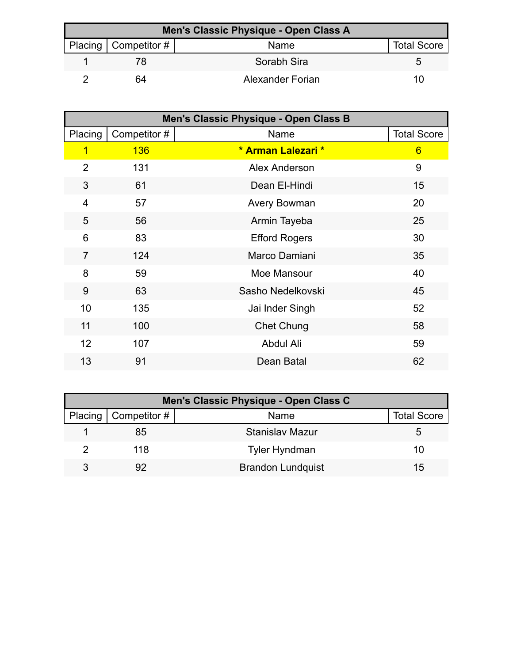| Men's Classic Physique - Open Class A |                        |                  |                    |  |
|---------------------------------------|------------------------|------------------|--------------------|--|
|                                       | Placing   Competitor # | Name             | <b>Total Score</b> |  |
|                                       |                        | Sorabh Sira      |                    |  |
|                                       | 64                     | Alexander Forian | 10                 |  |

| Men's Classic Physique - Open Class B |              |                      |                    |
|---------------------------------------|--------------|----------------------|--------------------|
| Placing                               | Competitor # | Name                 | <b>Total Score</b> |
| $\overline{1}$                        | <b>136</b>   | * Arman Lalezari *   | $6\phantom{1}$     |
| $\overline{2}$                        | 131          | <b>Alex Anderson</b> | 9                  |
| 3                                     | 61           | Dean El-Hindi        | 15                 |
| $\overline{4}$                        | 57           | Avery Bowman         | 20                 |
| 5                                     | 56           | Armin Tayeba         | 25                 |
| 6                                     | 83           | <b>Efford Rogers</b> | 30                 |
| $\overline{7}$                        | 124          | Marco Damiani        | 35                 |
| 8                                     | 59           | Moe Mansour          | 40                 |
| 9                                     | 63           | Sasho Nedelkovski    | 45                 |
| 10                                    | 135          | Jai Inder Singh      | 52                 |
| 11                                    | 100          | <b>Chet Chung</b>    | 58                 |
| 12                                    | 107          | Abdul Ali            | 59                 |
| 13                                    | 91           | Dean Batal           | 62                 |

| Men's Classic Physique - Open Class C |                              |                          |                    |  |
|---------------------------------------|------------------------------|--------------------------|--------------------|--|
|                                       | Placing $\vert$ Competitor # | Name                     | <b>Total Score</b> |  |
|                                       | 85                           | Stanislav Mazur          |                    |  |
|                                       | 118                          | <b>Tyler Hyndman</b>     | 10                 |  |
| 3                                     |                              | <b>Brandon Lundquist</b> | 15                 |  |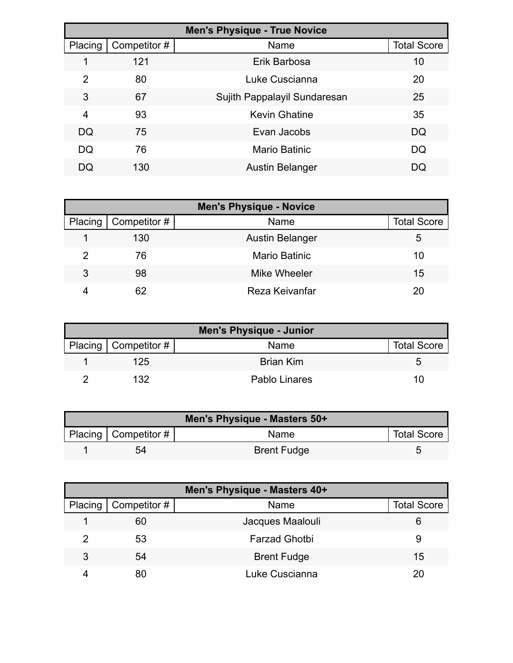| <b>Men's Physique - True Novice</b> |              |                              |                    |  |
|-------------------------------------|--------------|------------------------------|--------------------|--|
| Placing                             | Competitor # | Name                         | <b>Total Score</b> |  |
|                                     | 121          | Erik Barbosa                 | 10                 |  |
| $\mathcal{P}$                       | 80           | Luke Cuscianna               | 20                 |  |
| 3                                   | 67           | Sujith Pappalayil Sundaresan | 25                 |  |
| 4                                   | 93           | <b>Kevin Ghatine</b>         | 35                 |  |
| DQ                                  | 75           | Evan Jacobs                  | DQ                 |  |
| DQ                                  | 76           | <b>Mario Batinic</b>         | DQ                 |  |
| DQ                                  | 130          | <b>Austin Belanger</b>       | DQ                 |  |

| <b>Men's Physique - Novice</b> |                     |                        |                    |
|--------------------------------|---------------------|------------------------|--------------------|
| Placing                        | $\mid$ Competitor # | Name                   | <b>Total Score</b> |
|                                | 130                 | <b>Austin Belanger</b> | 5                  |
| 2                              | 76                  | <b>Mario Batinic</b>   | 10                 |
| 3                              | 98                  | Mike Wheeler           | 15                 |
|                                | 62                  | Reza Keivanfar         | 20                 |

| <b>Men's Physique - Junior</b> |                        |                  |                    |  |
|--------------------------------|------------------------|------------------|--------------------|--|
|                                | Placing   Competitor # | Name             | <b>Total Score</b> |  |
|                                | 125                    | <b>Brian Kim</b> |                    |  |
|                                | 132                    | Pablo Linares    | 10                 |  |

| Men's Physique - Masters 50+ |                          |                    |                    |  |
|------------------------------|--------------------------|--------------------|--------------------|--|
|                              | Placing   Competitor $#$ | Name               | <b>Total Score</b> |  |
|                              | 54                       | <b>Brent Fudge</b> |                    |  |

| Men's Physique - Masters 40+ |              |                      |                    |  |
|------------------------------|--------------|----------------------|--------------------|--|
| Placing                      | Competitor # | Name                 | <b>Total Score</b> |  |
|                              | 60           | Jacques Maalouli     | 6                  |  |
|                              | 53           | <b>Farzad Ghotbi</b> | 9                  |  |
| 3                            | 54           | <b>Brent Fudge</b>   | 15                 |  |
|                              | 80           | Luke Cuscianna       | 20                 |  |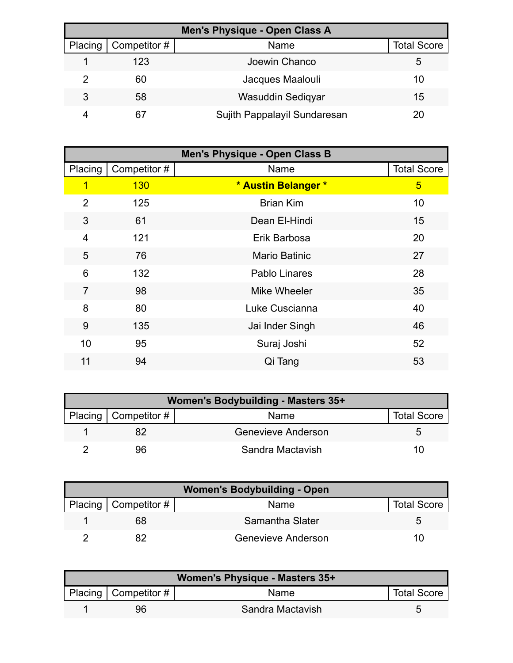| Men's Physique - Open Class A |              |                              |                    |  |
|-------------------------------|--------------|------------------------------|--------------------|--|
| Placing                       | Competitor # | Name                         | <b>Total Score</b> |  |
|                               | 123          | Joewin Chanco                | 5                  |  |
|                               | 60           | Jacques Maalouli             | 10                 |  |
| 3                             | 58           | Wasuddin Sediqyar            | 15                 |  |
|                               | 67           | Sujith Pappalayil Sundaresan | 20                 |  |

| <b>Men's Physique - Open Class B</b> |              |                      |                    |
|--------------------------------------|--------------|----------------------|--------------------|
| Placing                              | Competitor # | Name                 | <b>Total Score</b> |
| 1                                    | 130          | * Austin Belanger *  | 5                  |
| $\overline{2}$                       | 125          | <b>Brian Kim</b>     | 10                 |
| 3                                    | 61           | Dean El-Hindi        | 15                 |
| 4                                    | 121          | Erik Barbosa         | 20                 |
| 5                                    | 76           | <b>Mario Batinic</b> | 27                 |
| 6                                    | 132          | Pablo Linares        | 28                 |
| $\overline{7}$                       | 98           | Mike Wheeler         | 35                 |
| 8                                    | 80           | Luke Cuscianna       | 40                 |
| 9                                    | 135          | Jai Inder Singh      | 46                 |
| 10                                   | 95           | Suraj Joshi          | 52                 |
| 11                                   | 94           | Qi Tang              | 53                 |

| Women's Bodybuilding - Masters 35+ |                        |                    |                    |  |
|------------------------------------|------------------------|--------------------|--------------------|--|
|                                    | Placing   Competitor # | Name               | <b>Total Score</b> |  |
|                                    |                        | Genevieve Anderson |                    |  |
|                                    | 96                     | Sandra Mactavish   | 10                 |  |

| <b>Women's Bodybuilding - Open</b> |                              |                    |                    |
|------------------------------------|------------------------------|--------------------|--------------------|
|                                    | Placing $\vert$ Competitor # | Name               | <b>Total Score</b> |
|                                    | 68                           | Samantha Slater    |                    |
|                                    |                              | Genevieve Anderson | 11)                |

| Women's Physique - Masters 35+ |                        |                  |                    |  |
|--------------------------------|------------------------|------------------|--------------------|--|
|                                | Placing   Competitor # | <b>Name</b>      | <b>Total Score</b> |  |
|                                | 96                     | Sandra Mactavish |                    |  |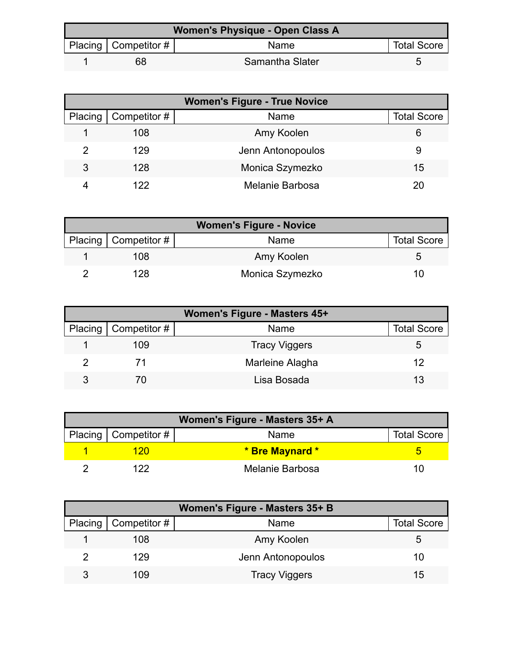| Women's Physique - Open Class A |                          |                 |                    |
|---------------------------------|--------------------------|-----------------|--------------------|
|                                 | Placing   Competitor $#$ | Name            | <b>Total Score</b> |
|                                 | 68                       | Samantha Slater |                    |

| <b>Women's Figure - True Novice</b> |                        |                   |                    |
|-------------------------------------|------------------------|-------------------|--------------------|
|                                     | Placing   Competitor # | Name              | <b>Total Score</b> |
|                                     | 108                    | Amy Koolen        | 6                  |
|                                     | 129                    | Jenn Antonopoulos | 9                  |
| 3                                   | 128                    | Monica Szymezko   | 15                 |
|                                     | 122                    | Melanie Barbosa   | 20                 |

| <b>Women's Figure - Novice</b> |                        |                 |                    |
|--------------------------------|------------------------|-----------------|--------------------|
|                                | Placing   Competitor # | Name            | <b>Total Score</b> |
|                                | 108                    | Amy Koolen      |                    |
|                                | 128                    | Monica Szymezko |                    |

| Women's Figure - Masters 45+ |                        |                      |                    |
|------------------------------|------------------------|----------------------|--------------------|
|                              | Placing   Competitor # | Name                 | <b>Total Score</b> |
|                              | 109                    | <b>Tracy Viggers</b> |                    |
|                              |                        | Marleine Alagha      | 12                 |
| 3                            |                        | Lisa Bosada          | 13                 |

| Women's Figure - Masters 35+ A |                        |                 |                    |
|--------------------------------|------------------------|-----------------|--------------------|
|                                | Placing   Competitor # | Name            | <b>Total Score</b> |
|                                | 12በ                    | * Bre Maynard * |                    |
|                                | 122                    | Melanie Barbosa |                    |

| Women's Figure - Masters 35+ B |                              |                      |                    |
|--------------------------------|------------------------------|----------------------|--------------------|
|                                | Placing $\vert$ Competitor # | Name                 | <b>Total Score</b> |
|                                | 108                          | Amy Koolen           | :5                 |
| 2                              | 129                          | Jenn Antonopoulos    | 10                 |
| 3                              | 109                          | <b>Tracy Viggers</b> | 15                 |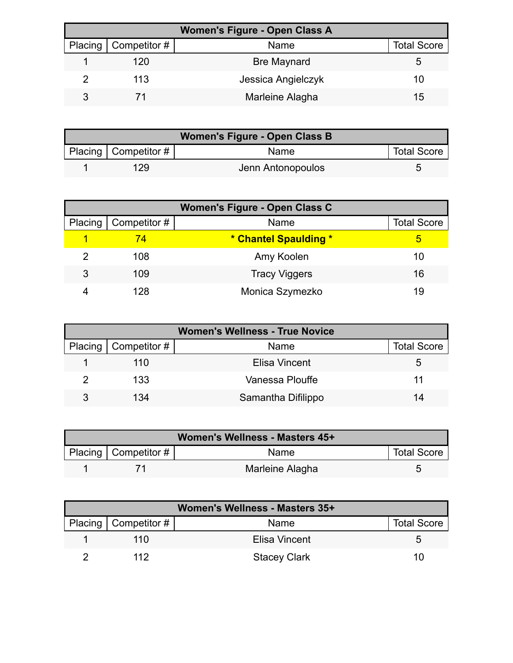| <b>Women's Figure - Open Class A</b> |                        |                    |                    |
|--------------------------------------|------------------------|--------------------|--------------------|
|                                      | Placing   Competitor # | Name               | <b>Total Score</b> |
|                                      | 120                    | <b>Bre Maynard</b> |                    |
|                                      | 113                    | Jessica Angielczyk | 10                 |
|                                      |                        | Marleine Alagha    | 15                 |

| Women's Figure - Open Class B |                           |                   |                    |
|-------------------------------|---------------------------|-------------------|--------------------|
|                               | Placing   Competitor $\#$ | <b>Name</b>       | <b>Total Score</b> |
|                               | 129                       | Jenn Antonopoulos |                    |

| Women's Figure - Open Class C |              |                       |                    |
|-------------------------------|--------------|-----------------------|--------------------|
| Placing                       | Competitor # | Name                  | <b>Total Score</b> |
|                               | 74           | * Chantel Spaulding * | 5                  |
|                               | 108          | Amy Koolen            | 10                 |
| 3                             | 109          | <b>Tracy Viggers</b>  | 16                 |
|                               | 128          | Monica Szymezko       | 19                 |

| <b>Women's Wellness - True Novice</b> |                              |                    |                    |
|---------------------------------------|------------------------------|--------------------|--------------------|
|                                       | Placing $\vert$ Competitor # | Name               | <b>Total Score</b> |
|                                       | 110                          | Elisa Vincent      | 5.                 |
|                                       | 133                          | Vanessa Plouffe    |                    |
| 3                                     | 134                          | Samantha Difilippo | 14                 |

| Women's Wellness - Masters 45+ |                          |                 |                    |
|--------------------------------|--------------------------|-----------------|--------------------|
|                                | Placing   Competitor $#$ | Name            | <b>Total Score</b> |
|                                |                          | Marleine Alagha |                    |

| Women's Wellness - Masters 35+ |                        |                     |                    |
|--------------------------------|------------------------|---------------------|--------------------|
|                                | Placing   Competitor # | Name                | <b>Total Score</b> |
|                                | 11 N                   | Elisa Vincent       | G                  |
|                                | 112                    | <b>Stacey Clark</b> | 10                 |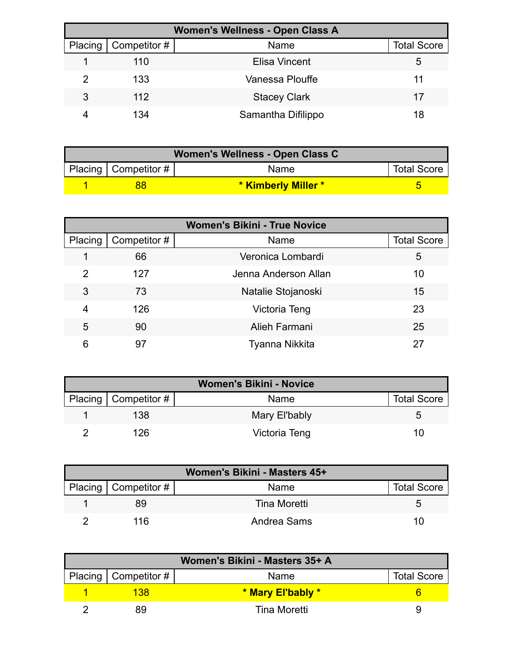| <b>Women's Wellness - Open Class A</b> |              |                     |                    |  |
|----------------------------------------|--------------|---------------------|--------------------|--|
| Placing                                | Competitor # | Name                | <b>Total Score</b> |  |
|                                        | 110          | Elisa Vincent       | 5                  |  |
|                                        | 133          | Vanessa Plouffe     | 11                 |  |
| 3                                      | 112          | <b>Stacey Clark</b> | 17                 |  |
|                                        | 134          | Samantha Difilippo  | 18                 |  |

| Women's Wellness - Open Class C |                          |                            |                    |
|---------------------------------|--------------------------|----------------------------|--------------------|
|                                 | Placing   Competitor $#$ | Name                       | <b>Total Score</b> |
|                                 | 38                       | <b>* Kimberly Miller *</b> |                    |

| <b>Women's Bikini - True Novice</b> |              |                      |                    |  |
|-------------------------------------|--------------|----------------------|--------------------|--|
| Placing                             | Competitor # | Name                 | <b>Total Score</b> |  |
|                                     | 66           | Veronica Lombardi    | 5                  |  |
| 2                                   | 127          | Jenna Anderson Allan | 10                 |  |
| 3                                   | 73           | Natalie Stojanoski   | 15                 |  |
| 4                                   | 126          | Victoria Teng        | 23                 |  |
| 5                                   | 90           | Alieh Farmani        | 25                 |  |
| 6                                   | 97           | Tyanna Nikkita       |                    |  |

| <b>Women's Bikini - Novice</b> |                          |               |                    |  |
|--------------------------------|--------------------------|---------------|--------------------|--|
|                                | Placing   Competitor $#$ | Name          | <b>Total Score</b> |  |
|                                | 138                      | Mary El'bably | ∽                  |  |
|                                | 126                      | Victoria Teng |                    |  |

| Women's Bikini - Masters 45+ |              |                    |  |
|------------------------------|--------------|--------------------|--|
| Placing   Competitor #       | Name         | <b>Total Score</b> |  |
| 89                           | Tina Moretti |                    |  |
| 116                          | Andrea Sams  | 10                 |  |

| Women's Bikini - Masters 35+ A |                          |                   |                    |
|--------------------------------|--------------------------|-------------------|--------------------|
|                                | Placing   Competitor $#$ | Name              | <b>Total Score</b> |
|                                | 138                      | * Mary El'bably * |                    |
|                                | 89                       | Tina Moretti      |                    |